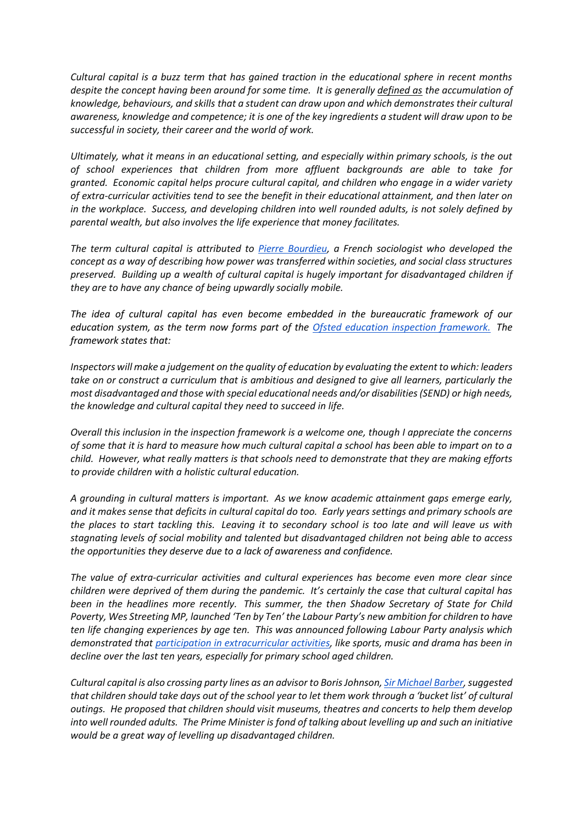*Cultural capital is a buzz term that has gained traction in the educational sphere in recent months despite the concept having been around for some time. It is generally [defined as](https://www.learningcultures.org/images/What_is_Cultural_Capital.docx.pdf) the accumulation of knowledge, behaviours, and skills that a student can draw upon and which demonstrates their cultural awareness, knowledge and competence; it is one of the key ingredients a student will draw upon to be successful in society, their career and the world of work.*

*Ultimately, what it means in an educational setting, and especially within primary schools, is the out of school experiences that children from more affluent backgrounds are able to take for granted. Economic capital helps procure cultural capital, and children who engage in a wider variety of extra-curricular activities tend to see the benefit in their educational attainment, and then later on in the workplace. Success, and developing children into well rounded adults, is not solely defined by parental wealth, but also involves the life experience that money facilitates.* 

*The term cultural capital is attributed to [Pierre Bourdieu,](https://www.trueeducationpartnerships.com/schools/what-is-ofsteds-cultural-capital/#:~:text=Cultural%20capital%20in%20sociology%20comprises,speech%2C%20dress%2C%20etc.)&text=The%20term%20was%20coined%20by,transferred%20and%20social%20classes%20maintained.) a French sociologist who developed the concept as a way of describing how power was transferred within societies, and social class structures preserved. Building up a wealth of cultural capital is hugely important for disadvantaged children if they are to have any chance of being upwardly socially mobile.*

*The idea of cultural capital has even become embedded in the bureaucratic framework of our education system, as the term now forms part of the [Ofsted education inspection framework.](https://www.gov.uk/government/publications/education-inspection-framework/education-inspection-framework) The framework states that:*

*Inspectors will make a judgement on the quality of education by evaluating the extent to which: leaders take on or construct a curriculum that is ambitious and designed to give all learners, particularly the most disadvantaged and those with special educational needs and/or disabilities (SEND) or high needs, the knowledge and cultural capital they need to succeed in life.*

*Overall this inclusion in the inspection framework is a welcome one, though I appreciate the concerns of some that it is hard to measure how much cultural capital a school has been able to impart on to a child. However, what really matters is that schools need to demonstrate that they are making efforts to provide children with a holistic cultural education.*

*A grounding in cultural matters is important. As we know academic attainment gaps emerge early, and it makes sense that deficits in cultural capital do too. Early years settings and primary schools are the places to start tackling this. Leaving it to secondary school is too late and will leave us with stagnating levels of social mobility and talented but disadvantaged children not being able to access the opportunities they deserve due to a lack of awareness and confidence.*

*The value of extra-curricular activities and cultural experiences has become even more clear since children were deprived of them during the pandemic. It's certainly the case that cultural capital has been in the headlines more recently. This summer, the then Shadow Secretary of State for Child Poverty, Wes Streeting MP, launched 'Ten by Ten' the Labour Party's new ambition for children to have ten life changing experiences by age ten. This was announced following Labour Party analysis which demonstrated that participation in [extracurricular activities,](https://www.theguardian.com/education/2021/aug/20/the-hypcocrisy-is-nauseating-wes-streeting-on-state-school-arts-cuts) like sports, music and drama has been in decline over the last ten years, especially for primary school aged children.*

*Cultural capital is also crossing party lines as an advisor to Boris Johnson[, Sir Michael Barber,](https://www.thetimes.co.uk/article/eb958b00-21fc-11ec-a1fd-37d9030e4d65?shareToken=bdbe41f016096bdf4aec61310375d1b2) suggested that children should take days out of the school year to let them work through a 'bucket list' of cultural outings. He proposed that children should visit museums, theatres and concerts to help them develop into well rounded adults. The Prime Minister is fond of talking about levelling up and such an initiative would be a great way of levelling up disadvantaged children.*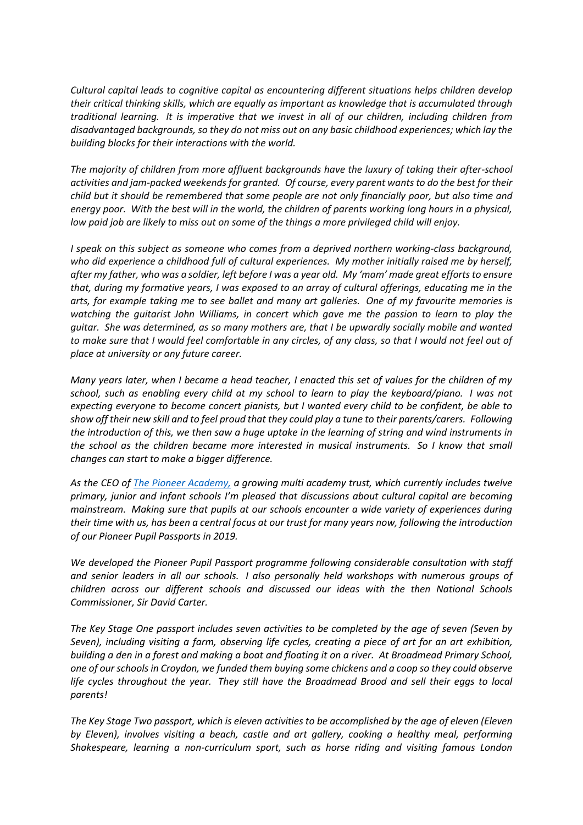*Cultural capital leads to cognitive capital as encountering different situations helps children develop their critical thinking skills, which are equally as important as knowledge that is accumulated through traditional learning. It is imperative that we invest in all of our children, including children from disadvantaged backgrounds, so they do not miss out on any basic childhood experiences; which lay the building blocks for their interactions with the world.*

*The majority of children from more affluent backgrounds have the luxury of taking their after-school activities and jam-packed weekends for granted. Of course, every parent wants to do the best for their child but it should be remembered that some people are not only financially poor, but also time and energy poor. With the best will in the world, the children of parents working long hours in a physical, low paid job are likely to miss out on some of the things a more privileged child will enjoy.*

*I speak on this subject as someone who comes from a deprived northern working-class background, who did experience a childhood full of cultural experiences. My mother initially raised me by herself, after my father, who was a soldier, left before I was a year old. My 'mam' made great efforts to ensure that, during my formative years, I was exposed to an array of cultural offerings, educating me in the arts, for example taking me to see ballet and many art galleries. One of my favourite memories is watching the guitarist John Williams, in concert which gave me the passion to learn to play the guitar. She was determined, as so many mothers are, that I be upwardly socially mobile and wanted to make sure that I would feel comfortable in any circles, of any class, so that I would not feel out of place at university or any future career.*

*Many years later, when I became a head teacher, I enacted this set of values for the children of my school, such as enabling every child at my school to learn to play the keyboard/piano. I was not expecting everyone to become concert pianists, but I wanted every child to be confident, be able to show off their new skill and to feel proud that they could play a tune to their parents/carers. Following the introduction of this, we then saw a huge uptake in the learning of string and wind instruments in the school as the children became more interested in musical instruments. So I know that small changes can start to make a bigger difference.*

*As the CEO of [The Pioneer Academy,](https://www.thepioneeracademy.co.uk/bexley/primary/pioneeracademy) a growing multi academy trust, which currently includes twelve primary, junior and infant schools I'm pleased that discussions about cultural capital are becoming mainstream. Making sure that pupils at our schools encounter a wide variety of experiences during their time with us, has been a central focus at our trust for many years now, following the introduction of our Pioneer Pupil Passports in 2019.*

*We developed the Pioneer Pupil Passport programme following considerable consultation with staff and senior leaders in all our schools. I also personally held workshops with numerous groups of children across our different schools and discussed our ideas with the then National Schools Commissioner, Sir David Carter.*

*The Key Stage One passport includes seven activities to be completed by the age of seven (Seven by Seven), including visiting a farm, observing life cycles, creating a piece of art for an art exhibition, building a den in a forest and making a boat and floating it on a river. At Broadmead Primary School, one of our schools in Croydon, we funded them buying some chickens and a coop so they could observe life cycles throughout the year. They still have the Broadmead Brood and sell their eggs to local parents!*

*The Key Stage Two passport, which is eleven activities to be accomplished by the age of eleven (Eleven by Eleven), involves visiting a beach, castle and art gallery, cooking a healthy meal, performing Shakespeare, learning a non-curriculum sport, such as horse riding and visiting famous London*